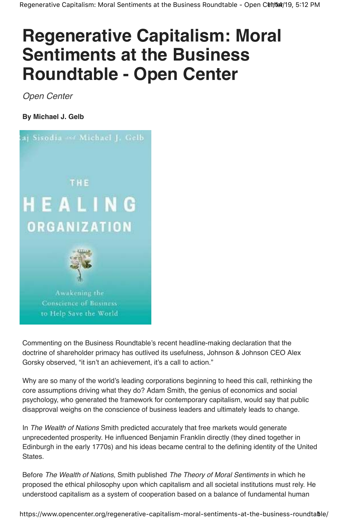## **Regenerative Capitalism: Moral Sentiments at the Business Roundtable - Open Center**

Open Center

**By Michael J. Gelb**



Commenting on the Business Roundtable's recent headline-making declaration that the doctrine of shareholder primacy has outlived its usefulness, Johnson & Johnson CEO Alex Gorsky observed, "it isn't an achievement, it's a call to action."

Why are so many of the world's leading corporations beginning to heed this call, rethinking the core assumptions driving what they do? Adam Smith, the genius of economics and social psychology, who generated the framework for contemporary capitalism, would say that public disapproval weighs on the conscience of business leaders and ultimately leads to change.

In The Wealth of Nations Smith predicted accurately that free markets would generate unprecedented prosperity. He influenced Benjamin Franklin directly (they dined together in Edinburgh in the early 1770s) and his ideas became central to the defining identity of the United States.

Before The Wealth of Nations, Smith published The Theory of Moral Sentiments in which he proposed the ethical philosophy upon which capitalism and all societal institutions must rely. He understood capitalism as a system of cooperation based on a balance of fundamental human

https://www.opencenter.org/regenerative-capitalism-moral-sentiments-at-the-business-roundtable/ 1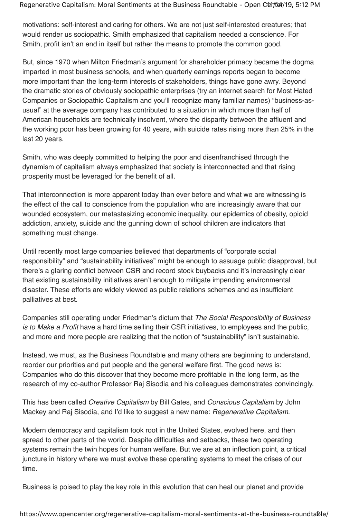Regenerative Capitalism: Moral Sentiments at the Business Roundtable - Open Cum 19, 5:12 PM

motivations: self-interest and caring for others. We are not just self-interested creatures; that would render us sociopathic. Smith emphasized that capitalism needed a conscience. For Smith, profit isn't an end in itself but rather the means to promote the common good.

But, since 1970 when Milton Friedman's argument for shareholder primacy became the dogma imparted in most business schools, and when quarterly earnings reports began to become more important than the long-term interests of stakeholders, things have gone awry. Beyond the dramatic stories of obviously sociopathic enterprises (try an internet search for Most Hated Companies or Sociopathic Capitalism and you'll recognize many familiar names) "business-asusual" at the average company has contributed to a situation in which more than half of American households are technically insolvent, where the disparity between the affluent and the working poor has been growing for 40 years, with suicide rates rising more than 25% in the last 20 years.

Smith, who was deeply committed to helping the poor and disenfranchised through the dynamism of capitalism always emphasized that society is interconnected and that rising prosperity must be leveraged for the benefit of all.

That interconnection is more apparent today than ever before and what we are witnessing is the effect of the call to conscience from the population who are increasingly aware that our wounded ecosystem, our metastasizing economic inequality, our epidemics of obesity, opioid addiction, anxiety, suicide and the gunning down of school children are indicators that something must change.

Until recently most large companies believed that departments of "corporate social responsibility" and "sustainability initiatives" might be enough to assuage public disapproval, but there's a glaring conflict between CSR and record stock buybacks and it's increasingly clear that existing sustainability initiatives aren't enough to mitigate impending environmental disaster. These efforts are widely viewed as public relations schemes and as insufficient palliatives at best.

Companies still operating under Friedman's dictum that The Social Responsibility of Business is to Make a Profit have a hard time selling their CSR initiatives, to employees and the public, and more and more people are realizing that the notion of "sustainability" isn't sustainable.

Instead, we must, as the Business Roundtable and many others are beginning to understand, reorder our priorities and put people and the general welfare first. The good news is: Companies who do this discover that they become more profitable in the long term, as the research of my co-author Professor Raj Sisodia and his colleagues demonstrates convincingly.

This has been called Creative Capitalism by Bill Gates, and Conscious Capitalism by John Mackey and Raj Sisodia, and I'd like to suggest a new name: Regenerative Capitalism.

Modern democracy and capitalism took root in the United States, evolved here, and then spread to other parts of the world. Despite difficulties and setbacks, these two operating systems remain the twin hopes for human welfare. But we are at an inflection point, a critical juncture in history where we must evolve these operating systems to meet the crises of our time.

Business is poised to play the key role in this evolution that can heal our planet and provide